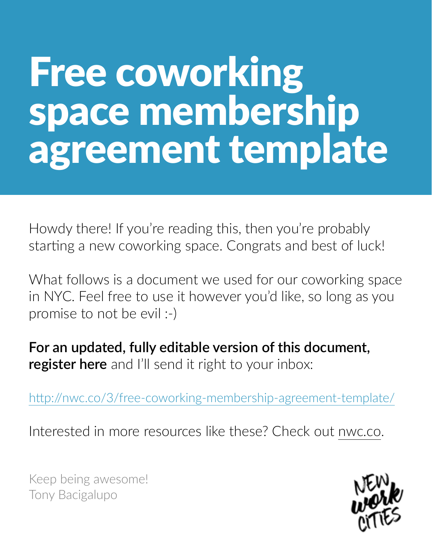# Free coworking space membership agreement template

Howdy there! If you're reading this, then you're probably starting a new coworking space. Congrats and best of luck!

What follows is a document we used for our coworking space in NYC. Feel free to use it however you'd like, so long as you promise to not be evil :-)

**For an updated, fully editable version of this document, register here** and I'll send it right to your inbox:

http://nwc.co/3/free-coworking-membership-agreement-template/

Interested in more resources like these? Check out [nwc.co](http://nwc.co).

Keep being awesome! Tony Bacigalupo

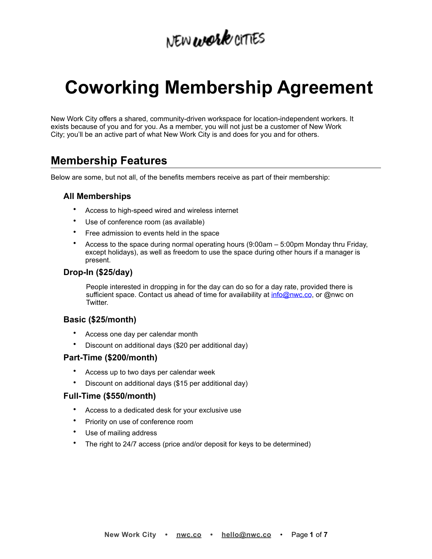# **Coworking Membership Agreement**

New Work City offers a shared, community-driven workspace for location-independent workers. It exists because of you and for you. As a member, you will not just be a customer of New Work City; you'll be an active part of what New Work City is and does for you and for others.

# **Membership Features**

Below are some, but not all, of the benefits members receive as part of their membership:

# **All Memberships**

- Access to high-speed wired and wireless internet
- Use of conference room (as available)
- Free admission to events held in the space
- Access to the space during normal operating hours (9:00am 5:00pm Monday thru Friday, except holidays), as well as freedom to use the space during other hours if a manager is present.

# **Drop-In (\$25/day)**

People interested in dropping in for the day can do so for a day rate, provided there is sufficient space. Contact us ahead of time for availability at [info@nwc.co](mailto:info@nwc.co?subject=), or @nwc on Twitter.

# **Basic (\$25/month)**

- Access one day per calendar month
- Discount on additional days (\$20 per additional day)

## **Part-Time (\$200/month)**

- Access up to two days per calendar week
- Discount on additional days (\$15 per additional day)

## **Full-Time (\$550/month)**

- Access to a dedicated desk for your exclusive use
- Priority on use of conference room
- Use of mailing address
- The right to 24/7 access (price and/or deposit for keys to be determined)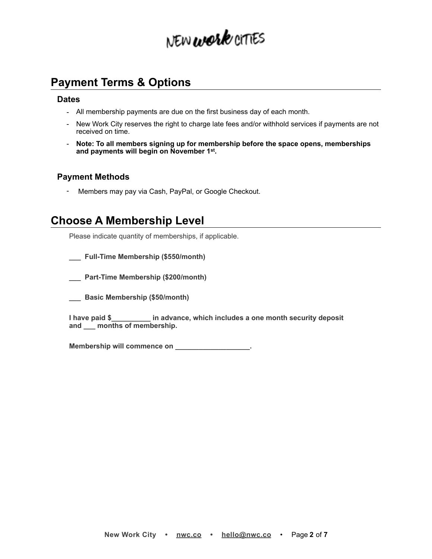# **Payment Terms & Options**

### **Dates**

- All membership payments are due on the first business day of each month.
- New Work City reserves the right to charge late fees and/or withhold services if payments are not received on time.
- **Note: To all members signing up for membership before the space opens, memberships and payments will begin on November 1st.**

# **Payment Methods**

- Members may pay via Cash, PayPal, or Google Checkout.

# **Choose A Membership Level**

Please indicate quantity of memberships, if applicable.

- **\_\_\_ Full-Time Membership (\$550/month)**
- **\_\_\_ Part-Time Membership (\$200/month)**
- **\_\_\_ Basic Membership (\$50/month)**

**I have paid \$\_\_\_\_\_\_\_\_\_\_ in advance, which includes a one month security deposit and \_\_\_ months of membership.** 

Membership will commence on \_\_\_\_\_\_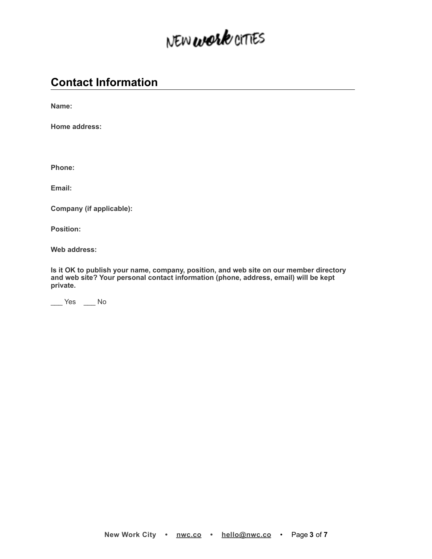# **Contact Information**

**Name:**

**Home address:**

**Phone:**

**Email:**

**Company (if applicable):**

**Position:**

**Web address:**

**Is it OK to publish your name, company, position, and web site on our member directory and web site? Your personal contact information (phone, address, email) will be kept private.** 

\_\_\_ Yes \_\_\_ No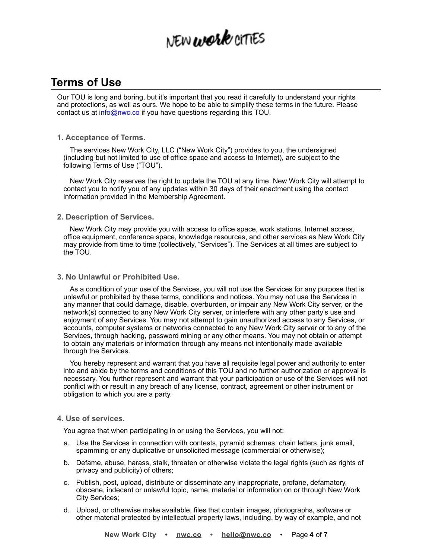# **Terms of Use**

Our TOU is long and boring, but it's important that you read it carefully to understand your rights and protections, as well as ours. We hope to be able to simplify these terms in the future. Please contact us at **info@nwc.co** if you have questions regarding this TOU.

### **1. Acceptance of Terms.**

The services New Work City, LLC ("New Work City") provides to you, the undersigned (including but not limited to use of office space and access to Internet), are subject to the following Terms of Use ("TOU").

New Work City reserves the right to update the TOU at any time. New Work City will attempt to contact you to notify you of any updates within 30 days of their enactment using the contact information provided in the Membership Agreement.

### **2. Description of Services.**

New Work City may provide you with access to office space, work stations, Internet access, office equipment, conference space, knowledge resources, and other services as New Work City may provide from time to time (collectively, "Services"). The Services at all times are subject to the TOU.

### **3. No Unlawful or Prohibited Use.**

As a condition of your use of the Services, you will not use the Services for any purpose that is unlawful or prohibited by these terms, conditions and notices. You may not use the Services in any manner that could damage, disable, overburden, or impair any New Work City server, or the network(s) connected to any New Work City server, or interfere with any other party's use and enjoyment of any Services. You may not attempt to gain unauthorized access to any Services, or accounts, computer systems or networks connected to any New Work City server or to any of the Services, through hacking, password mining or any other means. You may not obtain or attempt to obtain any materials or information through any means not intentionally made available through the Services.

You hereby represent and warrant that you have all requisite legal power and authority to enter into and abide by the terms and conditions of this TOU and no further authorization or approval is necessary. You further represent and warrant that your participation or use of the Services will not conflict with or result in any breach of any license, contract, agreement or other instrument or obligation to which you are a party.

#### **4. Use of services.**

You agree that when participating in or using the Services, you will not:

- a. Use the Services in connection with contests, pyramid schemes, chain letters, junk email, spamming or any duplicative or unsolicited message (commercial or otherwise);
- b. Defame, abuse, harass, stalk, threaten or otherwise violate the legal rights (such as rights of privacy and publicity) of others;
- c. Publish, post, upload, distribute or disseminate any inappropriate, profane, defamatory, obscene, indecent or unlawful topic, name, material or information on or through New Work City Services;
- d. Upload, or otherwise make available, files that contain images, photographs, software or other material protected by intellectual property laws, including, by way of example, and not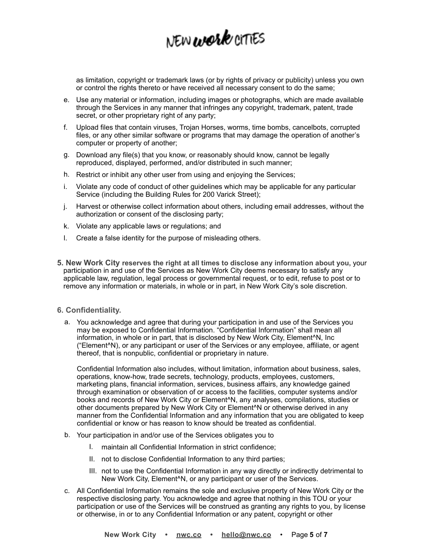as limitation, copyright or trademark laws (or by rights of privacy or publicity) unless you own or control the rights thereto or have received all necessary consent to do the same;

- e. Use any material or information, including images or photographs, which are made available through the Services in any manner that infringes any copyright, trademark, patent, trade secret, or other proprietary right of any party;
- f. Upload files that contain viruses, Trojan Horses, worms, time bombs, cancelbots, corrupted files, or any other similar software or programs that may damage the operation of another's computer or property of another;
- g. Download any file(s) that you know, or reasonably should know, cannot be legally reproduced, displayed, performed, and/or distributed in such manner;
- h. Restrict or inhibit any other user from using and enjoying the Services;
- i. Violate any code of conduct of other guidelines which may be applicable for any particular Service (including the Building Rules for 200 Varick Street);
- j. Harvest or otherwise collect information about others, including email addresses, without the authorization or consent of the disclosing party;
- k. Violate any applicable laws or regulations; and
- l. Create a false identity for the purpose of misleading others.
- **5. New Work City reserves the right at all times to disclose any information about you,** your participation in and use of the Services as New Work City deems necessary to satisfy any applicable law, regulation, legal process or governmental request, or to edit, refuse to post or to remove any information or materials, in whole or in part, in New Work City's sole discretion.

#### **6. Confidentiality.**

a. You acknowledge and agree that during your participation in and use of the Services you may be exposed to Confidential Information. "Confidential Information" shall mean all information, in whole or in part, that is disclosed by New Work City, Element^N, Inc ("Element^N), or any participant or user of the Services or any employee, affiliate, or agent thereof, that is nonpublic, confidential or proprietary in nature.

Confidential Information also includes, without limitation, information about business, sales, operations, know-how, trade secrets, technology, products, employees, customers, marketing plans, financial information, services, business affairs, any knowledge gained through examination or observation of or access to the facilities, computer systems and/or books and records of New Work City or Element^N, any analyses, compilations, studies or other documents prepared by New Work City or Element^N or otherwise derived in any manner from the Confidential Information and any information that you are obligated to keep confidential or know or has reason to know should be treated as confidential.

- b. Your participation in and/or use of the Services obligates you to
	- I. maintain all Confidential Information in strict confidence;
	- II. not to disclose Confidential Information to any third parties;
	- III. not to use the Confidential Information in any way directly or indirectly detrimental to New Work City, Element^N, or any participant or user of the Services.
- c. All Confidential Information remains the sole and exclusive property of New Work City or the respective disclosing party. You acknowledge and agree that nothing in this TOU or your participation or use of the Services will be construed as granting any rights to you, by license or otherwise, in or to any Confidential Information or any patent, copyright or other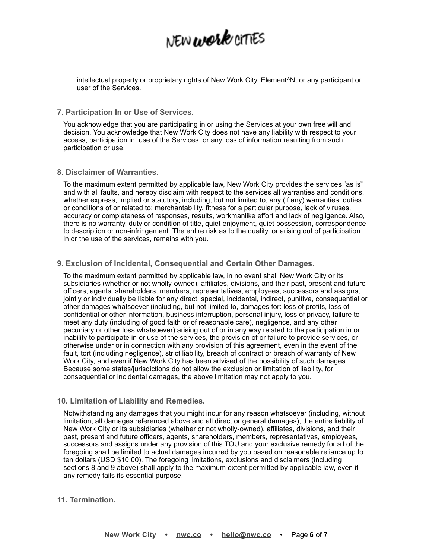intellectual property or proprietary rights of New Work City, Element^N, or any participant or user of the Services.

**7. Participation In or Use of Services.** 

You acknowledge that you are participating in or using the Services at your own free will and decision. You acknowledge that New Work City does not have any liability with respect to your access, participation in, use of the Services, or any loss of information resulting from such participation or use.

**8. Disclaimer of Warranties.** 

To the maximum extent permitted by applicable law, New Work City provides the services "as is" and with all faults, and hereby disclaim with respect to the services all warranties and conditions, whether express, implied or statutory, including, but not limited to, any (if any) warranties, duties or conditions of or related to: merchantability, fitness for a particular purpose, lack of viruses, accuracy or completeness of responses, results, workmanlike effort and lack of negligence. Also, there is no warranty, duty or condition of title, quiet enjoyment, quiet possession, correspondence to description or non-infringement. The entire risk as to the quality, or arising out of participation in or the use of the services, remains with you.

### **9. Exclusion of Incidental, Consequential and Certain Other Damages.**

To the maximum extent permitted by applicable law, in no event shall New Work City or its subsidiaries (whether or not wholly-owned), affiliates, divisions, and their past, present and future officers, agents, shareholders, members, representatives, employees, successors and assigns, jointly or individually be liable for any direct, special, incidental, indirect, punitive, consequential or other damages whatsoever (including, but not limited to, damages for: loss of profits, loss of confidential or other information, business interruption, personal injury, loss of privacy, failure to meet any duty (including of good faith or of reasonable care), negligence, and any other pecuniary or other loss whatsoever) arising out of or in any way related to the participation in or inability to participate in or use of the services, the provision of or failure to provide services, or otherwise under or in connection with any provision of this agreement, even in the event of the fault, tort (including negligence), strict liability, breach of contract or breach of warranty of New Work City, and even if New Work City has been advised of the possibility of such damages. Because some states/jurisdictions do not allow the exclusion or limitation of liability, for consequential or incidental damages, the above limitation may not apply to you.

### **10. Limitation of Liability and Remedies.**

Notwithstanding any damages that you might incur for any reason whatsoever (including, without limitation, all damages referenced above and all direct or general damages), the entire liability of New Work City or its subsidiaries (whether or not wholly-owned), affiliates, divisions, and their past, present and future officers, agents, shareholders, members, representatives, employees, successors and assigns under any provision of this TOU and your exclusive remedy for all of the foregoing shall be limited to actual damages incurred by you based on reasonable reliance up to ten dollars (USD \$10.00). The foregoing limitations, exclusions and disclaimers (including sections 8 and 9 above) shall apply to the maximum extent permitted by applicable law, even if any remedy fails its essential purpose.

### **11. Termination.**